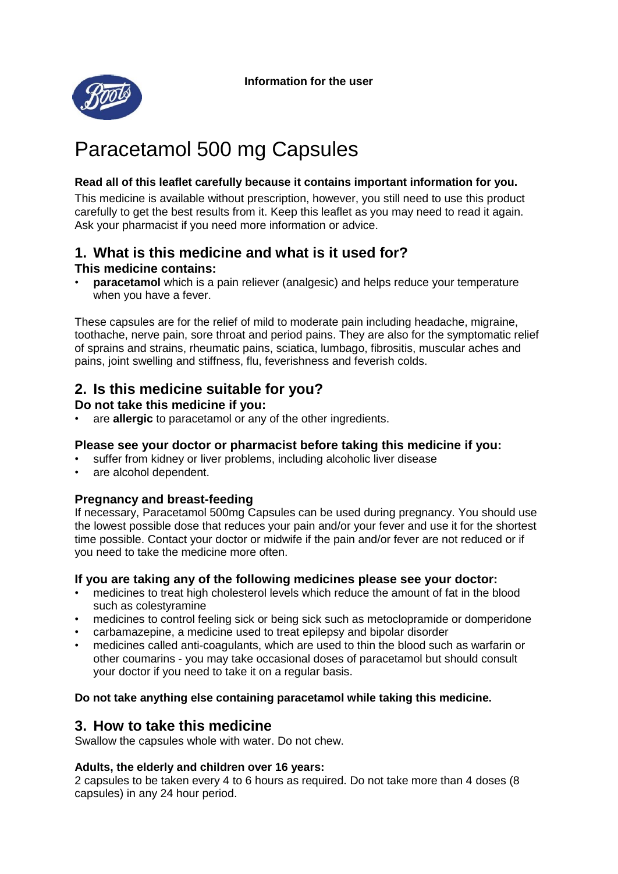**Information for the user** 



# Paracetamol 500 mg Capsules

#### **Read all of this leaflet carefully because it contains important information for you.**

This medicine is available without prescription, however, you still need to use this product carefully to get the best results from it. Keep this leaflet as you may need to read it again. Ask your pharmacist if you need more information or advice.

#### **1. What is this medicine and what is it used for? This medicine contains:**

• **paracetamol** which is a pain reliever (analgesic) and helps reduce your temperature when you have a fever.

These capsules are for the relief of mild to moderate pain including headache, migraine, toothache, nerve pain, sore throat and period pains. They are also for the symptomatic relief of sprains and strains, rheumatic pains, sciatica, lumbago, fibrositis, muscular aches and pains, joint swelling and stiffness, flu, feverishness and feverish colds.

# **2. Is this medicine suitable for you?**

#### **Do not take this medicine if you:**

• are **allergic** to paracetamol or any of the other ingredients.

#### **Please see your doctor or pharmacist before taking this medicine if you:**

- suffer from kidney or liver problems, including alcoholic liver disease
- are alcohol dependent.

#### **Pregnancy and breast-feeding**

If necessary, Paracetamol 500mg Capsules can be used during pregnancy. You should use the lowest possible dose that reduces your pain and/or your fever and use it for the shortest time possible. Contact your doctor or midwife if the pain and/or fever are not reduced or if you need to take the medicine more often.

#### **If you are taking any of the following medicines please see your doctor:**

- medicines to treat high cholesterol levels which reduce the amount of fat in the blood such as colestyramine
- medicines to control feeling sick or being sick such as metoclopramide or domperidone
- carbamazepine, a medicine used to treat epilepsy and bipolar disorder
- medicines called anti-coagulants, which are used to thin the blood such as warfarin or other coumarins - you may take occasional doses of paracetamol but should consult your doctor if you need to take it on a regular basis.

#### **Do not take anything else containing paracetamol while taking this medicine.**

## **3. How to take this medicine**

Swallow the capsules whole with water. Do not chew.

#### **Adults, the elderly and children over 16 years:**

2 capsules to be taken every 4 to 6 hours as required. Do not take more than 4 doses (8 capsules) in any 24 hour period.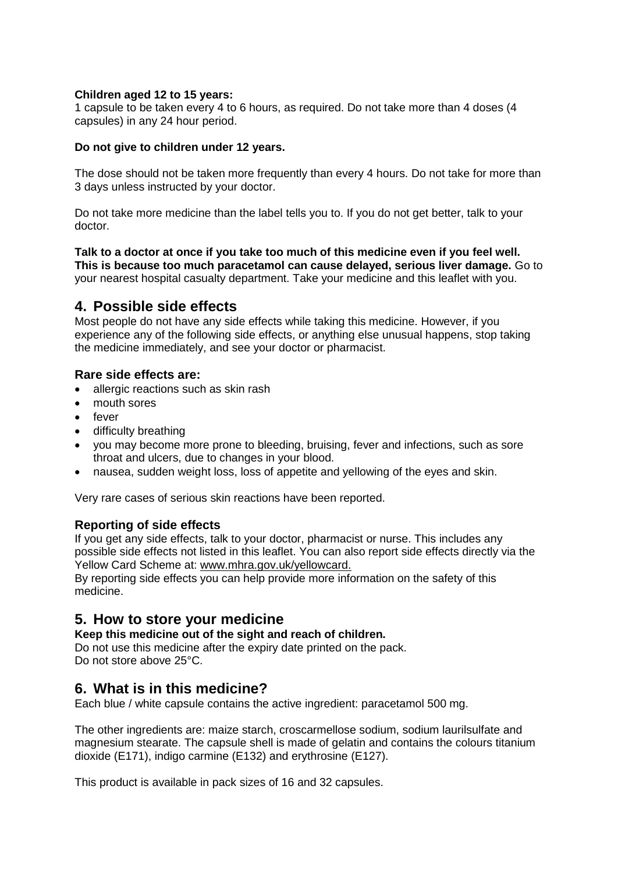#### **Children aged 12 to 15 years:**

1 capsule to be taken every 4 to 6 hours, as required. Do not take more than 4 doses (4 capsules) in any 24 hour period.

#### **Do not give to children under 12 years.**

The dose should not be taken more frequently than every 4 hours. Do not take for more than 3 days unless instructed by your doctor.

Do not take more medicine than the label tells you to. If you do not get better, talk to your doctor.

**Talk to a doctor at once if you take too much of this medicine even if you feel well. This is because too much paracetamol can cause delayed, serious liver damage.** Go to your nearest hospital casualty department. Take your medicine and this leaflet with you.

#### **4. Possible side effects**

Most people do not have any side effects while taking this medicine. However, if you experience any of the following side effects, or anything else unusual happens, stop taking the medicine immediately, and see your doctor or pharmacist.

#### **Rare side effects are:**

- allergic reactions such as skin rash
- mouth sores
- fever
- difficulty breathing
- you may become more prone to bleeding, bruising, fever and infections, such as sore throat and ulcers, due to changes in your blood.
- nausea, sudden weight loss, loss of appetite and yellowing of the eyes and skin.

Very rare cases of serious skin reactions have been reported.

#### **Reporting of side effects**

If you get any side effects, talk to your doctor, pharmacist or nurse. This includes any possible side effects not listed in this leaflet. You can also report side effects directly via the Yellow Card Scheme at: www.mhra.gov.uk/yellowcard.

By reporting side effects you can help provide more information on the safety of this medicine.

## **5. How to store your medicine**

**Keep this medicine out of the sight and reach of children.** Do not use this medicine after the expiry date printed on the pack.

Do not store above 25°C.

## **6. What is in this medicine?**

Each blue / white capsule contains the active ingredient: paracetamol 500 mg.

The other ingredients are: maize starch, croscarmellose sodium, sodium laurilsulfate and magnesium stearate. The capsule shell is made of gelatin and contains the colours titanium dioxide (E171), indigo carmine (E132) and erythrosine (E127).

This product is available in pack sizes of 16 and 32 capsules.